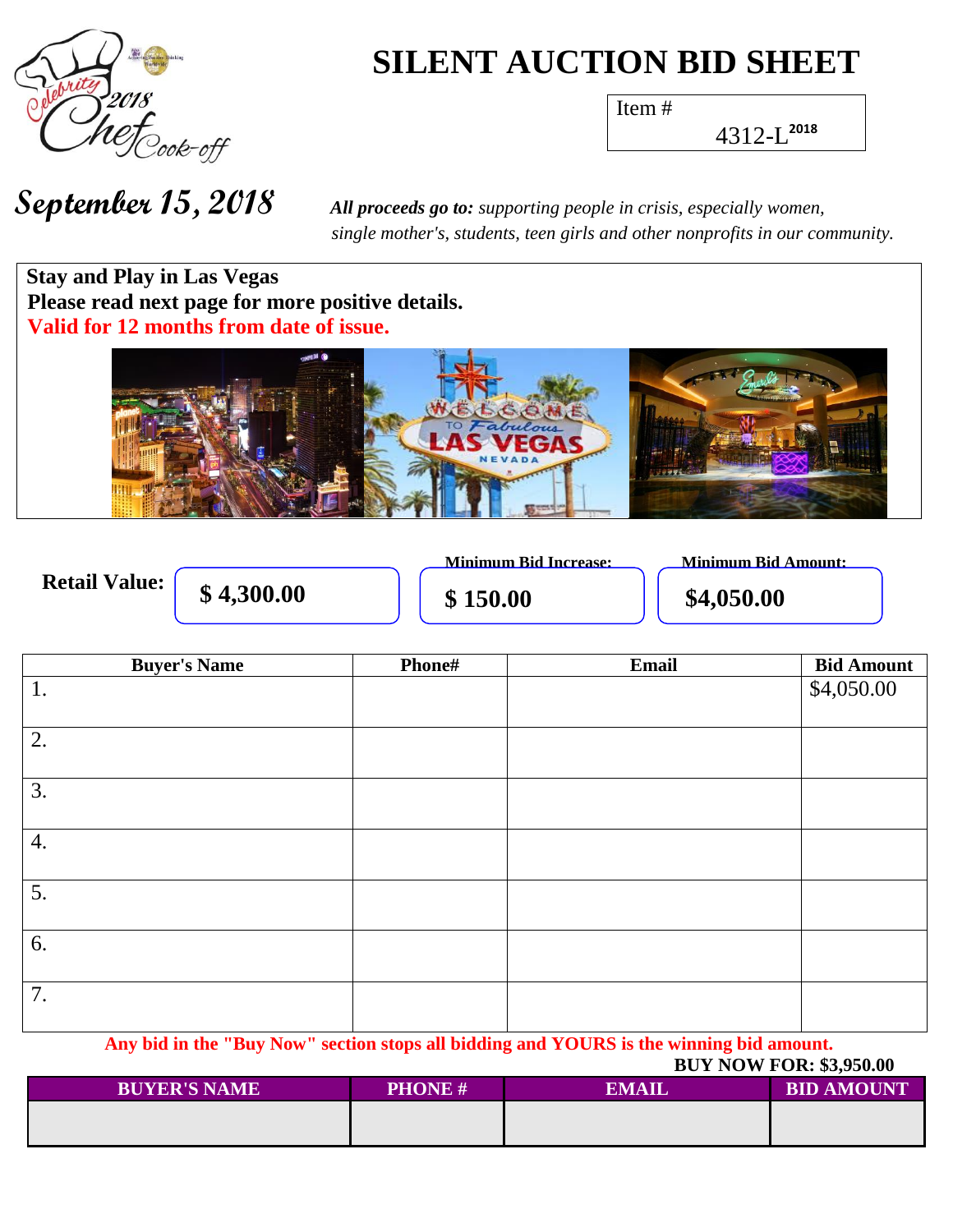

# **SILENT AUCTION BID SHEET**

Item #

4312-L **2018**

 *single mother's, students, teen girls and other nonprofits in our community.*

**Stay and Play in Las Vegas Please read next page for more positive details. Valid for 12 months from date of issue.**



**Retail Value:** 

**\$4,300.00 \$150.00 \$4,050.00** 

**Minimum Bid Increase: Minimum Bid Amount:**

| <b>Buyer's Name</b> | Phone# | Email | <b>Bid Amount</b> |
|---------------------|--------|-------|-------------------|
| 1.                  |        |       | \$4,050.00        |
| $\overline{2}$ .    |        |       |                   |
| $\overline{3}$ .    |        |       |                   |
| $\overline{4}$ .    |        |       |                   |
| $\overline{5}$ .    |        |       |                   |
| 6.                  |        |       |                   |
| 7.                  |        |       |                   |

**Any bid in the "Buy Now" section stops all bidding and YOURS is the winning bid amount.**

 **BUY NOW FOR: \$3,950.00**

| <b>BUYER'S NAME</b> | <b>PHONE#</b> | <b>EMAIL</b> | <b>BID AMOUNT</b> |
|---------------------|---------------|--------------|-------------------|
|                     |               |              |                   |
|                     |               |              |                   |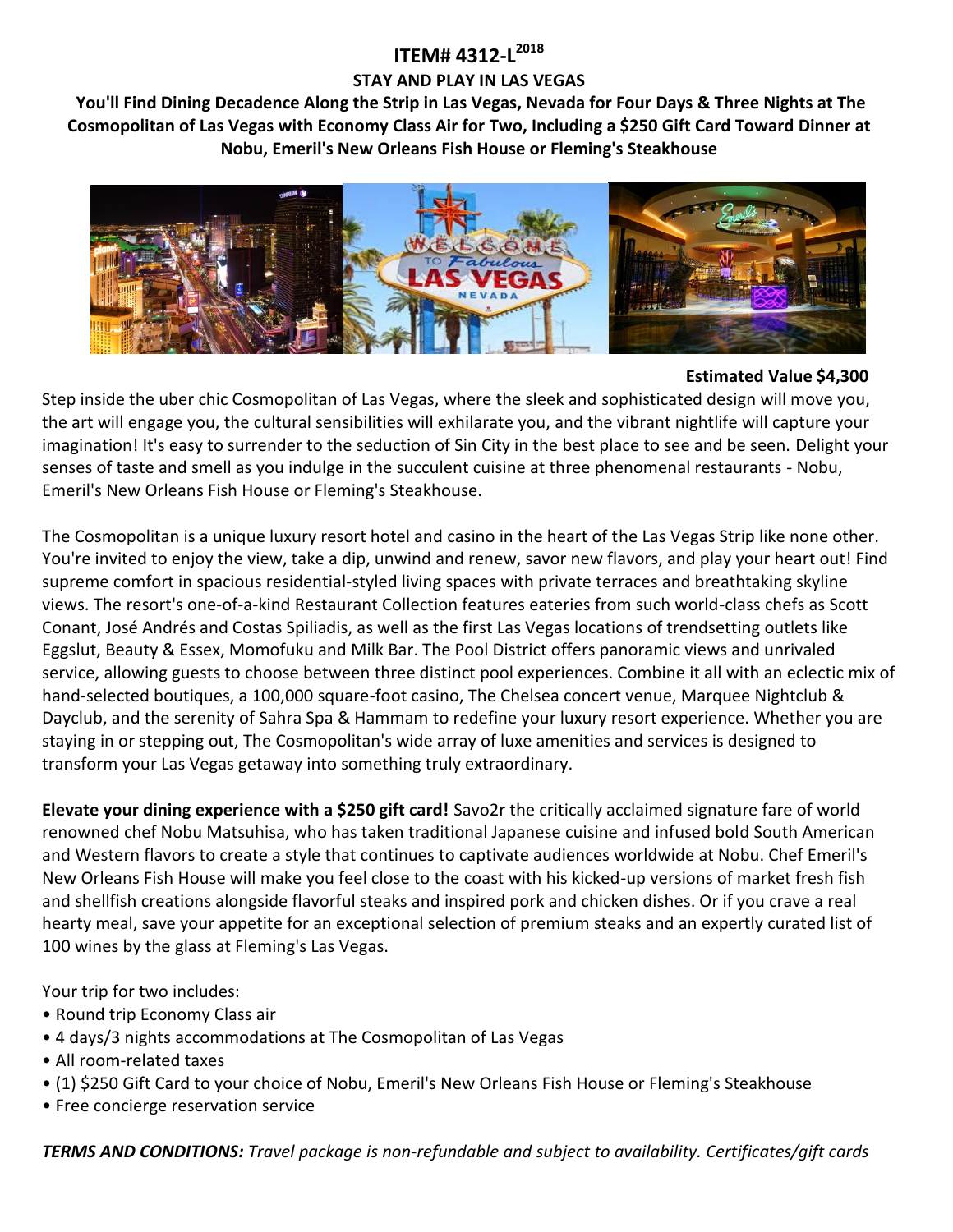## **ITEM# 4312-L 2018 STAY AND PLAY IN LAS VEGAS**

**You'll Find Dining Decadence Along the Strip in Las Vegas, Nevada for Four Days & Three Nights at The Cosmopolitan of Las Vegas with Economy Class Air for Two, Including a \$250 Gift Card Toward Dinner at Nobu, Emeril's New Orleans Fish House or Fleming's Steakhouse**



#### **Estimated Value \$4,300**

Step inside the uber chic Cosmopolitan of Las Vegas, where the sleek and sophisticated design will move you, the art will engage you, the cultural sensibilities will exhilarate you, and the vibrant nightlife will capture your imagination! It's easy to surrender to the seduction of Sin City in the best place to see and be seen. Delight your senses of taste and smell as you indulge in the succulent cuisine at three phenomenal restaurants - Nobu, Emeril's New Orleans Fish House or Fleming's Steakhouse.

The Cosmopolitan is a unique luxury resort hotel and casino in the heart of the Las Vegas Strip like none other. You're invited to enjoy the view, take a dip, unwind and renew, savor new flavors, and play your heart out! Find supreme comfort in spacious residential-styled living spaces with private terraces and breathtaking skyline views. The resort's one-of-a-kind Restaurant Collection features eateries from such world-class chefs as Scott Conant, José Andrés and Costas Spiliadis, as well as the first Las Vegas locations of trendsetting outlets like Eggslut, Beauty & Essex, Momofuku and Milk Bar. The Pool District offers panoramic views and unrivaled service, allowing guests to choose between three distinct pool experiences. Combine it all with an eclectic mix of hand-selected boutiques, a 100,000 square-foot casino, The Chelsea concert venue, Marquee Nightclub & Dayclub, and the serenity of Sahra Spa & Hammam to redefine your luxury resort experience. Whether you are staying in or stepping out, The Cosmopolitan's wide array of luxe amenities and services is designed to transform your Las Vegas getaway into something truly extraordinary.

**Elevate your dining experience with a \$250 gift card!** Savo2r the critically acclaimed signature fare of world renowned chef Nobu Matsuhisa, who has taken traditional Japanese cuisine and infused bold South American and Western flavors to create a style that continues to captivate audiences worldwide at Nobu. Chef Emeril's New Orleans Fish House will make you feel close to the coast with his kicked-up versions of market fresh fish and shellfish creations alongside flavorful steaks and inspired pork and chicken dishes. Or if you crave a real hearty meal, save your appetite for an exceptional selection of premium steaks and an expertly curated list of 100 wines by the glass at Fleming's Las Vegas.

Your trip for two includes:

- Round trip Economy Class air
- 4 days/3 nights accommodations at The Cosmopolitan of Las Vegas
- All room-related taxes
- (1) \$250 Gift Card to your choice of Nobu, Emeril's New Orleans Fish House or Fleming's Steakhouse
- Free concierge reservation service

*TERMS AND CONDITIONS: Travel package is non-refundable and subject to availability. Certificates/gift cards*